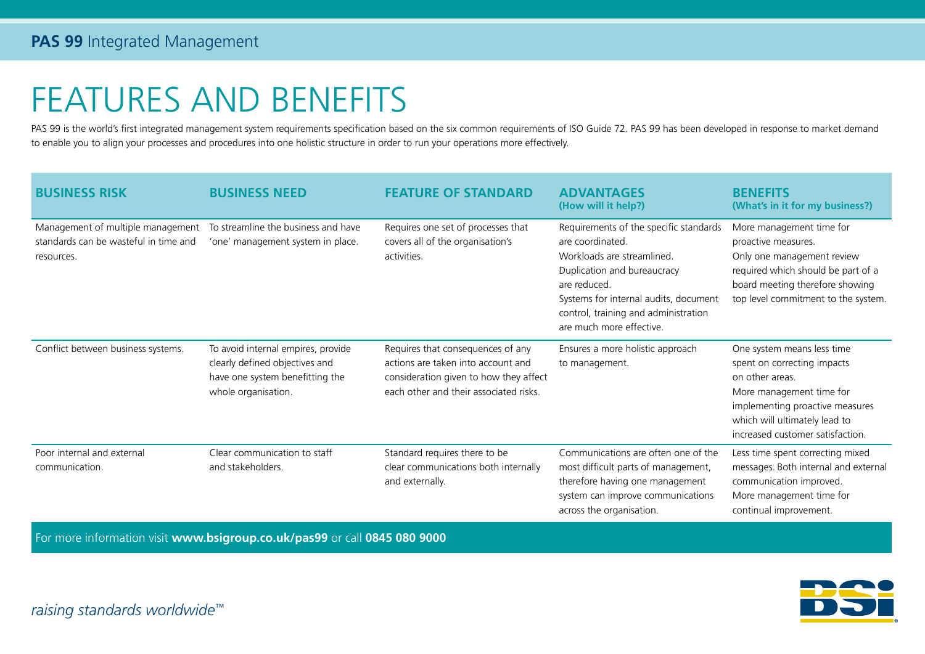## FEATURES AND BENEFITS

PAS 99 is the world's first integrated management system requirements specification based on the six common requirements of ISO Guide 72. PAS 99 has been developed in response to market demand to enable you to align your processes and procedures into one holistic structure in order to run your operations more effectively.

| <b>BUSINESS RISK</b>                                                                     | <b>BUSINESS NEED</b>                                                                                                           | <b>FEATURE OF STANDARD</b>                                                                                                                                  | <b>ADVANTAGES</b><br>(How will it help?)                                                                                                                                                                                                             | <b>BENEFITS</b><br>(What's in it for my business?)                                                                                                                                                               |
|------------------------------------------------------------------------------------------|--------------------------------------------------------------------------------------------------------------------------------|-------------------------------------------------------------------------------------------------------------------------------------------------------------|------------------------------------------------------------------------------------------------------------------------------------------------------------------------------------------------------------------------------------------------------|------------------------------------------------------------------------------------------------------------------------------------------------------------------------------------------------------------------|
| Management of multiple management<br>standards can be wasteful in time and<br>resources. | To streamline the business and have<br>'one' management system in place.                                                       | Requires one set of processes that<br>covers all of the organisation's<br>activities.                                                                       | Requirements of the specific standards<br>are coordinated.<br>Workloads are streamlined.<br>Duplication and bureaucracy<br>are reduced.<br>Systems for internal audits, document<br>control, training and administration<br>are much more effective. | More management time for<br>proactive measures.<br>Only one management review<br>required which should be part of a<br>board meeting therefore showing<br>top level commitment to the system.                    |
| Conflict between business systems.                                                       | To avoid internal empires, provide<br>clearly defined objectives and<br>have one system benefitting the<br>whole organisation. | Requires that consequences of any<br>actions are taken into account and<br>consideration given to how they affect<br>each other and their associated risks. | Ensures a more holistic approach<br>to management.                                                                                                                                                                                                   | One system means less time<br>spent on correcting impacts<br>on other areas.<br>More management time for<br>implementing proactive measures<br>which will ultimately lead to<br>increased customer satisfaction. |
| Poor internal and external<br>communication.                                             | Clear communication to staff<br>and stakeholders.                                                                              | Standard requires there to be<br>clear communications both internally<br>and externally.                                                                    | Communications are often one of the<br>most difficult parts of management,<br>therefore having one management<br>system can improve communications<br>across the organisation.                                                                       | Less time spent correcting mixed<br>messages. Both internal and external<br>communication improved.<br>More management time for<br>continual improvement.                                                        |

For more information visit **www.bsigroup.co.uk/pas99** or call **0845 080 9000**



*raising standards worldwide™*